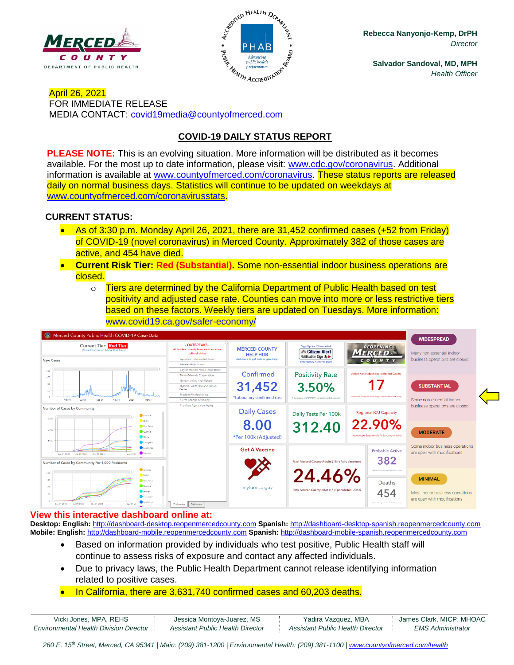



**Rebecca Nanyonjo-Kemp, DrPH** *Director*

**Salvador Sandoval, MD, MPH** *Health Officer*

April 26, 2021 FOR IMMEDIATE RELEASE MEDIA CONTACT: [covid19media@countyofmerced.com](mailto:covid19media@countyofmerced.com)

# **COVID-19 DAILY STATUS REPORT**

**PLEASE NOTE:** This is an evolving situation. More information will be distributed as it becomes available. For the most up to date information, please visit: [www.cdc.gov/coronavirus.](http://www.cdc.gov/coronavirus) Additional information is available at [www.countyofmerced.com/coronavirus.](http://www.countyofmerced.com/coronavirus) These status reports are released daily on normal business days. Statistics will continue to be updated on weekdays at [www.countyofmerced.com/coronavirusstats.](http://www.countyofmerced.com/coronavirusstats)

#### **CURRENT STATUS:**

- As of 3:30 p.m. Monday April 26, 2021, there are 31,452 confirmed cases (+52 from Friday) of COVID-19 (novel coronavirus) in Merced County. Approximately 382 of those cases are active, and 454 have died.
- **Current Risk Tier: Red (Substantial).** Some non-essential indoor business operations are closed.
	- o Tiers are determined by the California Department of Public Health based on test positivity and adjusted case rate. Counties can move into more or less restrictive tiers based on these factors. Weekly tiers are updated on Tuesdays. More information: [www.covid19.ca.gov/safer-economy/](http://www.covid19.ca.gov/safer-economy/)



#### **View this interactive dashboard online at:**

**Desktop: English:** [http://dashboard-desktop.reopenmercedcounty.com](http://dashboard-desktop.reopenmercedcounty.com/) **Spanish:** [http://dashboard-desktop-spanish.reopenmercedcounty.com](http://dashboard-desktop-spanish.reopenmercedcounty.com/) **Mobile: English:** [http://dashboard-mobile.reopenmercedcounty.com](http://dashboard-mobile.reopenmercedcounty.com/) **Spanish:** [http://dashboard-mobile-spanish.reopenmercedcounty.com](http://dashboard-mobile-spanish.reopenmercedcounty.com/)

- Based on information provided by individuals who test positive, Public Health staff will continue to assess risks of exposure and contact any affected individuals.
- Due to privacy laws, the Public Health Department cannot release identifying information related to positive cases.
- In California, there are 3,631,740 confirmed cases and 60,203 deaths.

| Vicki Jones, MPA, REHS                        | Jessica Montoya-Juarez, MS       | Yadira Vazquez, MBA              | James Clark, MICP, MHOAC |
|-----------------------------------------------|----------------------------------|----------------------------------|--------------------------|
| <b>Environmental Health Division Director</b> | Assistant Public Health Director | Assistant Public Health Director | <i>EMS Administrator</i> |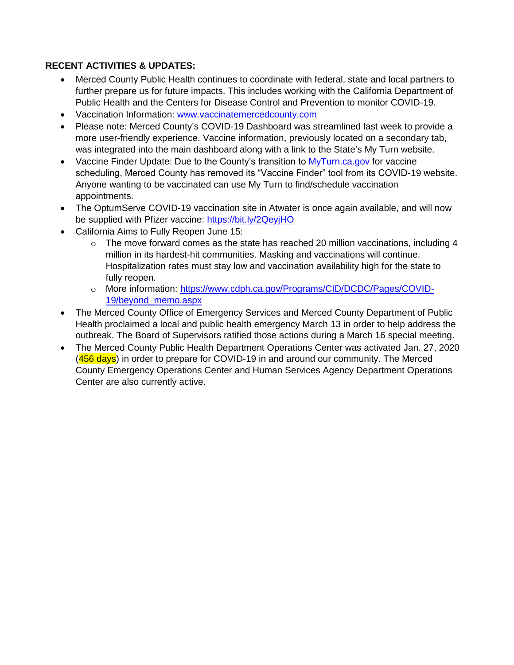# **RECENT ACTIVITIES & UPDATES:**

- Merced County Public Health continues to coordinate with federal, state and local partners to further prepare us for future impacts. This includes working with the California Department of Public Health and the Centers for Disease Control and Prevention to monitor COVID-19.
- Vaccination Information: [www.vaccinatemercedcounty.com](http://www.vaccinatemercedcounty.com/)
- Please note: Merced County's COVID-19 Dashboard was streamlined last week to provide a more user-friendly experience. Vaccine information, previously located on a secondary tab, was integrated into the main dashboard along with a link to the State's My Turn website.
- Vaccine Finder Update: Due to the County's transition to [MyTurn.ca.gov](file://///mcgengov-04/users3$/users/ceo/dept/DIR/North/Departments/Public%20Health/COVID-19/COVID-19%20Releases/myturn.ca.gov) for vaccine scheduling, Merced County has removed its "Vaccine Finder" tool from its COVID-19 website. Anyone wanting to be vaccinated can use My Turn to find/schedule vaccination appointments.
- The OptumServe COVID-19 vaccination site in Atwater is once again available, and will now be supplied with Pfizer vaccine:<https://bit.ly/2QeyjHO>
- California Aims to Fully Reopen June 15:
	- $\circ$  The move forward comes as the state has reached 20 million vaccinations, including 4 million in its hardest-hit communities. Masking and vaccinations will continue. Hospitalization rates must stay low and vaccination availability high for the state to fully reopen.
	- o More information: [https://www.cdph.ca.gov/Programs/CID/DCDC/Pages/COVID-](https://www.cdph.ca.gov/Programs/CID/DCDC/Pages/COVID-19/beyond_memo.aspx)[19/beyond\\_memo.aspx](https://www.cdph.ca.gov/Programs/CID/DCDC/Pages/COVID-19/beyond_memo.aspx)
- The Merced County Office of Emergency Services and Merced County Department of Public Health proclaimed a local and public health emergency March 13 in order to help address the outbreak. The Board of Supervisors ratified those actions during a March 16 special meeting.
- The Merced County Public Health Department Operations Center was activated Jan. 27, 2020  $(456 \text{ days})$  in order to prepare for COVID-19 in and around our community. The Merced County Emergency Operations Center and Human Services Agency Department Operations Center are also currently active.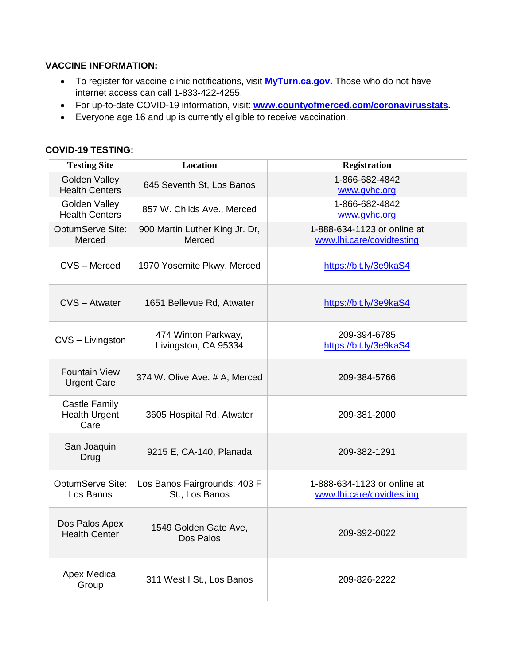### **VACCINE INFORMATION:**

- To register for vaccine clinic notifications, visit **[MyTurn.ca.gov.](https://myturn.ca.gov/)** Those who do not have internet access can call 1-833-422-4255.
- For up-to-date COVID-19 information, visit: **[www.countyofmerced.com/coronavirusstats.](http://www.countyofmerced.com/coronavirusstats)**
- Everyone age 16 and up is currently eligible to receive vaccination.

#### **Testing Site Location Registration** Golden Valley Golden Valley 645 Seventh St, Los Banos [1-866-682-4842](tel:1-866-682-4842)<br>Health Centers 645 Seventh St, Los Banos [www.gvhc.org](http://www.gvhc.org/) Golden Valley Golden Valley [857 W. Childs Ave., Merced](x-apple-data-detectors://4/0) [1-866-682-4842](tel:1-866-682-4842)<br>Health Centers 857 W. Childs Ave., Merced [www.gvhc.org](http://www.gvhc.org/) OptumServe Site: Merced 900 Martin Luther King Jr. Dr, Merced 1-888-634-1123 or online at [www.lhi.care/covidtesting](http://www.lhi.care/covidtesting) CVS – Merced 1970 Yosemite Pkwy, Merced <https://bit.ly/3e9kaS4> CVS – Atwater 1651 Bellevue Rd, Atwater <https://bit.ly/3e9kaS4>  $CVS - Livingston$  474 Winton Parkway, Livingston, CA 95334 209-394-6785 <https://bit.ly/3e9kaS4> Fountain View Urgent Care 374 W. Olive Ave. # A, Merced 209-384-5766 Castle Family Health Urgent Care 3605 Hospital Rd, Atwater 209-381-2000 San Joaquin Proadum 9215 E, CA-140, Planada 209-382-1291 OptumServe Site: Los Banos Los Banos Fairgrounds: 403 F St., Los Banos 1-888-634-1123 or online at [www.lhi.care/covidtesting](http://www.lhi.care/covidtesting) Dos Palos Apex Health Center 1549 Golden Gate Ave, Dos Palos 209-392-0022 Apex Medical  $Gr$  Medical  $311$  West I St., Los Banos  $209-826-2222$

### **COVID-19 TESTING:**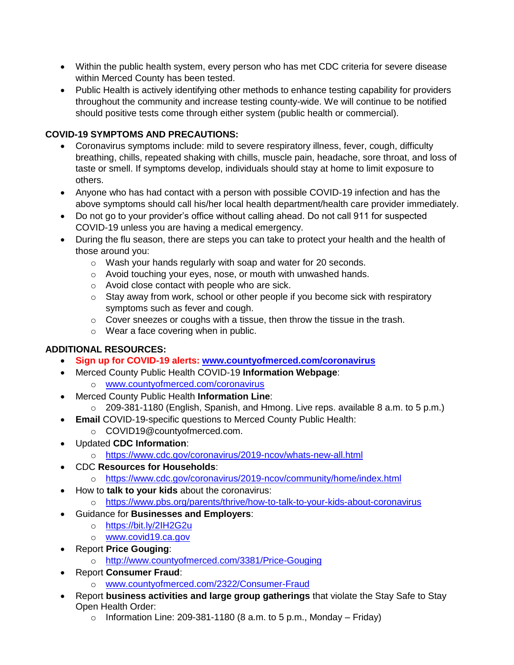- Within the public health system, every person who has met CDC criteria for severe disease within Merced County has been tested.
- Public Health is actively identifying other methods to enhance testing capability for providers throughout the community and increase testing county-wide. We will continue to be notified should positive tests come through either system (public health or commercial).

# **COVID-19 SYMPTOMS AND PRECAUTIONS:**

- Coronavirus symptoms include: mild to severe respiratory illness, fever, cough, difficulty breathing, chills, repeated shaking with chills, muscle pain, headache, sore throat, and loss of taste or smell. If symptoms develop, individuals should stay at home to limit exposure to others.
- Anyone who has had contact with a person with possible COVID-19 infection and has the above symptoms should call his/her local health department/health care provider immediately.
- Do not go to your provider's office without calling ahead. Do not call 911 for suspected COVID-19 unless you are having a medical emergency.
- During the flu season, there are steps you can take to protect your health and the health of those around you:
	- o Wash your hands regularly with soap and water for 20 seconds.
	- o Avoid touching your eyes, nose, or mouth with unwashed hands.
	- o Avoid close contact with people who are sick.
	- o Stay away from work, school or other people if you become sick with respiratory symptoms such as fever and cough.
	- $\circ$  Cover sneezes or coughs with a tissue, then throw the tissue in the trash.
	- o Wear a face covering when in public.

# **ADDITIONAL RESOURCES:**

- **Sign up for COVID-19 alerts: [www.countyofmerced.com/coronavirus](http://www.countyofmerced.com/coronavirus)**
- Merced County Public Health COVID-19 **Information Webpage**: o [www.countyofmerced.com/coronavirus](http://www.countyofmerced.com/coronavirus)
- Merced County Public Health **Information Line**:
	- o 209-381-1180 (English, Spanish, and Hmong. Live reps. available 8 a.m. to 5 p.m.)
- **Email** COVID-19-specific questions to Merced County Public Health:
	- o COVID19@countyofmerced.com.
- Updated **CDC Information**:
	- o <https://www.cdc.gov/coronavirus/2019-ncov/whats-new-all.html>
- CDC **Resources for Households**:
	- o <https://www.cdc.gov/coronavirus/2019-ncov/community/home/index.html>
- How to **talk to your kids** about the coronavirus:
	- o <https://www.pbs.org/parents/thrive/how-to-talk-to-your-kids-about-coronavirus>
- Guidance for **Businesses and Employers**:
	- o <https://bit.ly/2IH2G2u>
	- o [www.covid19.ca.gov](http://www.covid19.ca.gov/)
- Report **Price Gouging**:
	- o <http://www.countyofmerced.com/3381/Price-Gouging>
- Report **Consumer Fraud**:
	- o [www.countyofmerced.com/2322/Consumer-Fraud](http://www.countyofmerced.com/2322/Consumer-Fraud)
- Report **business activities and large group gatherings** that violate the Stay Safe to Stay Open Health Order:
	- $\circ$  Information Line: 209-381-1180 (8 a.m. to 5 p.m., Monday Friday)